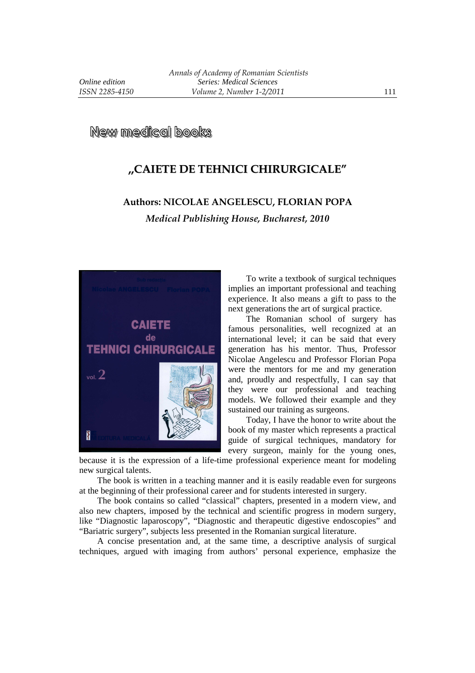## **New medical books**

## **,,CAIETE DE TEHNICI CHIRURGICALE"**

## **Authors: NICOLAE ANGELESCU, FLORIAN POPA**  *Medical Publishing House, Bucharest, 2010*



To write a textbook of surgical techniques implies an important professional and teaching experience. It also means a gift to pass to the next generations the art of surgical practice.

The Romanian school of surgery has famous personalities, well recognized at an international level; it can be said that every generation has his mentor. Thus, Professor Nicolae Angelescu and Professor Florian Popa were the mentors for me and my generation and, proudly and respectfully, I can say that they were our professional and teaching models. We followed their example and they sustained our training as surgeons.

Today, I have the honor to write about the book of my master which represents a practical guide of surgical techniques, mandatory for every surgeon, mainly for the young ones,

because it is the expression of a life-time professional experience meant for modeling new surgical talents.

The book is written in a teaching manner and it is easily readable even for surgeons at the beginning of their professional career and for students interested in surgery.

The book contains so called "classical" chapters, presented in a modern view, and also new chapters, imposed by the technical and scientific progress in modern surgery, like "Diagnostic laparoscopy", "Diagnostic and therapeutic digestive endoscopies" and "Bariatric surgery", subjects less presented in the Romanian surgical literature.

A concise presentation and, at the same time, a descriptive analysis of surgical techniques, argued with imaging from authors' personal experience, emphasize the